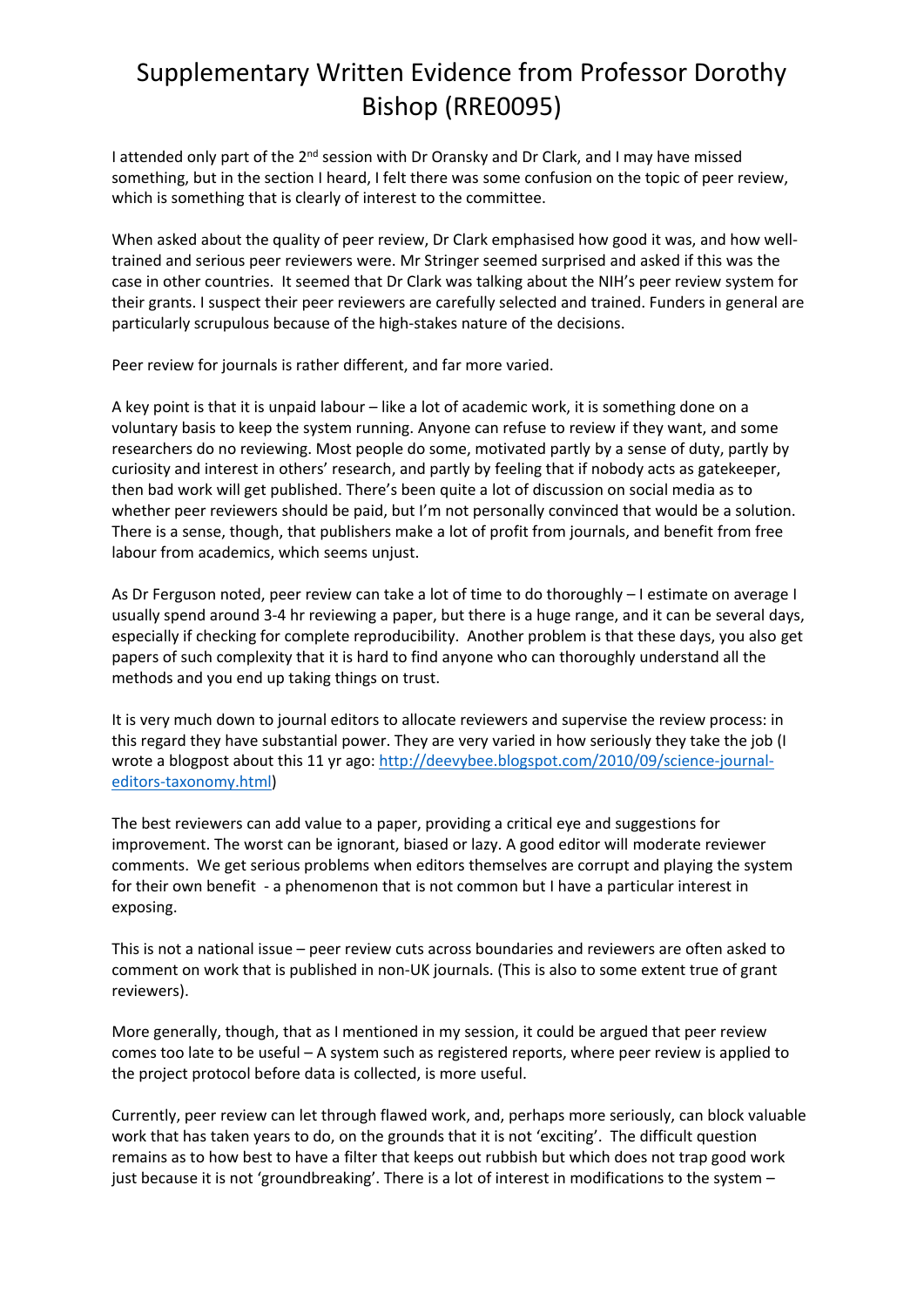## Supplementary Written Evidence from Professor Dorothy Bishop (RRE0095)

I attended only part of the 2<sup>nd</sup> session with Dr Oransky and Dr Clark, and I may have missed something, but in the section I heard, I felt there was some confusion on the topic of peer review, which is something that is clearly of interest to the committee.

When asked about the quality of peer review, Dr Clark emphasised how good it was, and how welltrained and serious peer reviewers were. Mr Stringer seemed surprised and asked if this was the case in other countries. It seemed that Dr Clark was talking about the NIH's peer review system for their grants. I suspect their peer reviewers are carefully selected and trained. Funders in general are particularly scrupulous because of the high-stakes nature of the decisions.

Peer review for journals is rather different, and far more varied.

A key point is that it is unpaid labour – like a lot of academic work, it is something done on a voluntary basis to keep the system running. Anyone can refuse to review if they want, and some researchers do no reviewing. Most people do some, motivated partly by a sense of duty, partly by curiosity and interest in others' research, and partly by feeling that if nobody acts as gatekeeper, then bad work will get published. There's been quite a lot of discussion on social media as to whether peer reviewers should be paid, but I'm not personally convinced that would be a solution. There is a sense, though, that publishers make a lot of profit from journals, and benefit from free labour from academics, which seems unjust.

As Dr Ferguson noted, peer review can take a lot of time to do thoroughly – I estimate on average I usually spend around 3-4 hr reviewing a paper, but there is a huge range, and it can be several days, especially if checking for complete reproducibility. Another problem is that these days, you also get papers of such complexity that it is hard to find anyone who can thoroughly understand all the methods and you end up taking things on trust.

It is very much down to journal editors to allocate reviewers and supervise the review process: in this regard they have substantial power. They are very varied in how seriously they take the job (I wrote a blogpost about this 11 yr ago: [http://deevybee.blogspot.com/2010/09/science-journal](https://protect-eu.mimecast.com/s/fdIhCK13nCVWlrESM2UE8?domain=deevybee.blogspot.com)[editors-taxonomy.html](https://protect-eu.mimecast.com/s/fdIhCK13nCVWlrESM2UE8?domain=deevybee.blogspot.com))

The best reviewers can add value to a paper, providing a critical eye and suggestions for improvement. The worst can be ignorant, biased or lazy. A good editor will moderate reviewer comments. We get serious problems when editors themselves are corrupt and playing the system for their own benefit - a phenomenon that is not common but I have a particular interest in exposing.

This is not a national issue – peer review cuts across boundaries and reviewers are often asked to comment on work that is published in non-UK journals. (This is also to some extent true of grant reviewers).

More generally, though, that as I mentioned in my session, it could be argued that peer review comes too late to be useful – A system such as registered reports, where peer review is applied to the project protocol before data is collected, is more useful.

Currently, peer review can let through flawed work, and, perhaps more seriously, can block valuable work that has taken years to do, on the grounds that it is not 'exciting'. The difficult question remains as to how best to have a filter that keeps out rubbish but which does not trap good work just because it is not 'groundbreaking'. There is a lot of interest in modifications to the system –